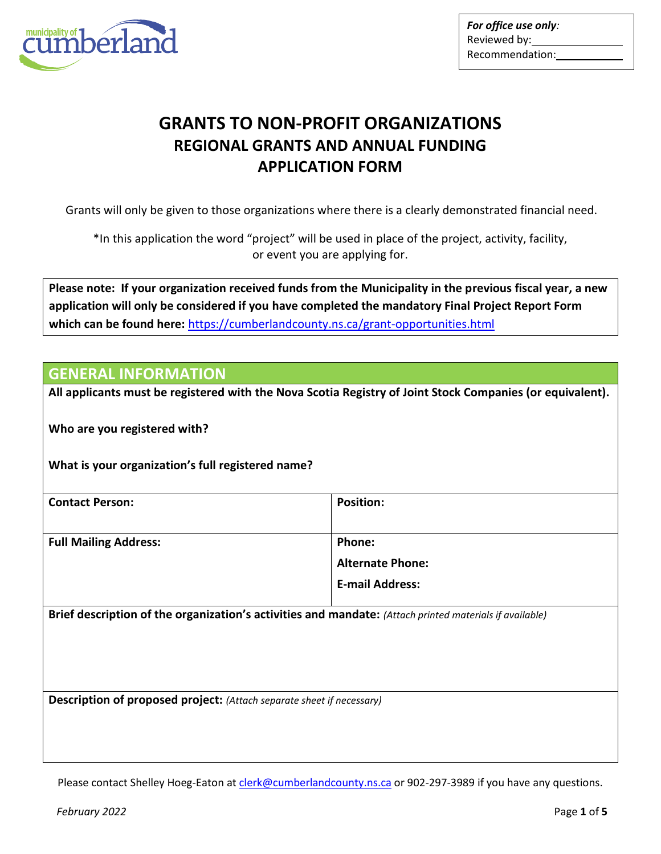

*For office use only:* Reviewed by: Recommendation:

## **GRANTS TO NON-PROFIT ORGANIZATIONS REGIONAL GRANTS AND ANNUAL FUNDING APPLICATION FORM**

Grants will only be given to those organizations where there is a clearly demonstrated financial need.

\*In this application the word "project" will be used in place of the project, activity, facility, or event you are applying for.

**Please note: If your organization received funds from the Municipality in the previous fiscal year, a new application will only be considered if you have completed the mandatory Final Project Report Form which can be found here:** <https://cumberlandcounty.ns.ca/grant-opportunities.html>

#### **GENERAL INFORMATION**

**All applicants must be registered with the Nova Scotia Registry of Joint Stock Companies (or equivalent).**

**Who are you registered with?**

**What is your organization's full registered name?**

| <b>Contact Person:</b>       | <b>Position:</b>        |
|------------------------------|-------------------------|
|                              |                         |
| <b>Full Mailing Address:</b> | Phone:                  |
|                              | <b>Alternate Phone:</b> |
|                              | <b>E-mail Address:</b>  |
|                              |                         |

**Brief description of the organization's activities and mandate:** *(Attach printed materials if available)*

**Description of proposed project:** *(Attach separate sheet if necessary)*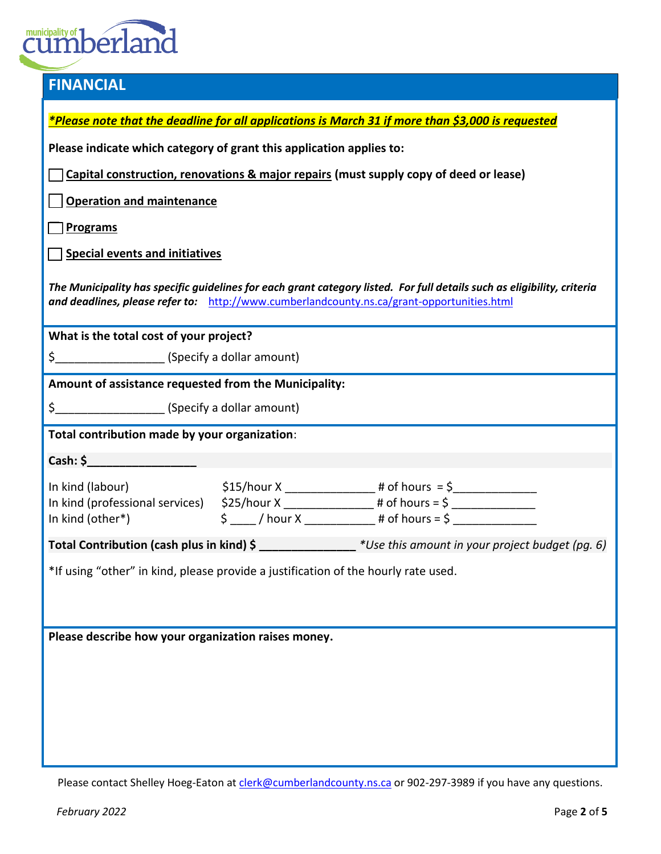# **Cumberland**

| <b>FINANCIAL</b>                                                                                                                                                                                                      |                                                                                                               |  |  |
|-----------------------------------------------------------------------------------------------------------------------------------------------------------------------------------------------------------------------|---------------------------------------------------------------------------------------------------------------|--|--|
|                                                                                                                                                                                                                       | *Please note that the deadline for all applications is March 31 if more than \$3,000 is requested             |  |  |
|                                                                                                                                                                                                                       |                                                                                                               |  |  |
| Please indicate which category of grant this application applies to:                                                                                                                                                  |                                                                                                               |  |  |
| Capital construction, renovations & major repairs (must supply copy of deed or lease)                                                                                                                                 |                                                                                                               |  |  |
| <b>Operation and maintenance</b>                                                                                                                                                                                      |                                                                                                               |  |  |
| <b>Programs</b>                                                                                                                                                                                                       |                                                                                                               |  |  |
| <b>Special events and initiatives</b>                                                                                                                                                                                 |                                                                                                               |  |  |
| The Municipality has specific guidelines for each grant category listed. For full details such as eligibility, criteria<br>and deadlines, please refer to: http://www.cumberlandcounty.ns.ca/grant-opportunities.html |                                                                                                               |  |  |
| What is the total cost of your project?                                                                                                                                                                               |                                                                                                               |  |  |
| \$___________________________(Specify a dollar amount)                                                                                                                                                                |                                                                                                               |  |  |
| Amount of assistance requested from the Municipality:                                                                                                                                                                 |                                                                                                               |  |  |
|                                                                                                                                                                                                                       |                                                                                                               |  |  |
| Total contribution made by your organization:                                                                                                                                                                         |                                                                                                               |  |  |
| Cash: \$                                                                                                                                                                                                              |                                                                                                               |  |  |
|                                                                                                                                                                                                                       | In kind (labour) $$15/hour X$ 4 of hours = \$<br>In kind (professional services) $$25/hour X$ 4 of hours = \$ |  |  |
|                                                                                                                                                                                                                       |                                                                                                               |  |  |
| In kind (other*)                                                                                                                                                                                                      | $\texttt{\$} \_\_\_\_$ / hour X $\_\_\_\_\_\_\_$ # of hours = \$ $\_\_\_\_\_\_\_\_\_\_$                       |  |  |
|                                                                                                                                                                                                                       | Total Contribution (cash plus in kind) \$ ______________ *Use this amount in your project budget (pg. 6)      |  |  |
|                                                                                                                                                                                                                       | *If using "other" in kind, please provide a justification of the hourly rate used.                            |  |  |
|                                                                                                                                                                                                                       |                                                                                                               |  |  |
|                                                                                                                                                                                                                       |                                                                                                               |  |  |
| Please describe how your organization raises money.                                                                                                                                                                   |                                                                                                               |  |  |
|                                                                                                                                                                                                                       |                                                                                                               |  |  |
|                                                                                                                                                                                                                       |                                                                                                               |  |  |
|                                                                                                                                                                                                                       |                                                                                                               |  |  |
|                                                                                                                                                                                                                       |                                                                                                               |  |  |
|                                                                                                                                                                                                                       |                                                                                                               |  |  |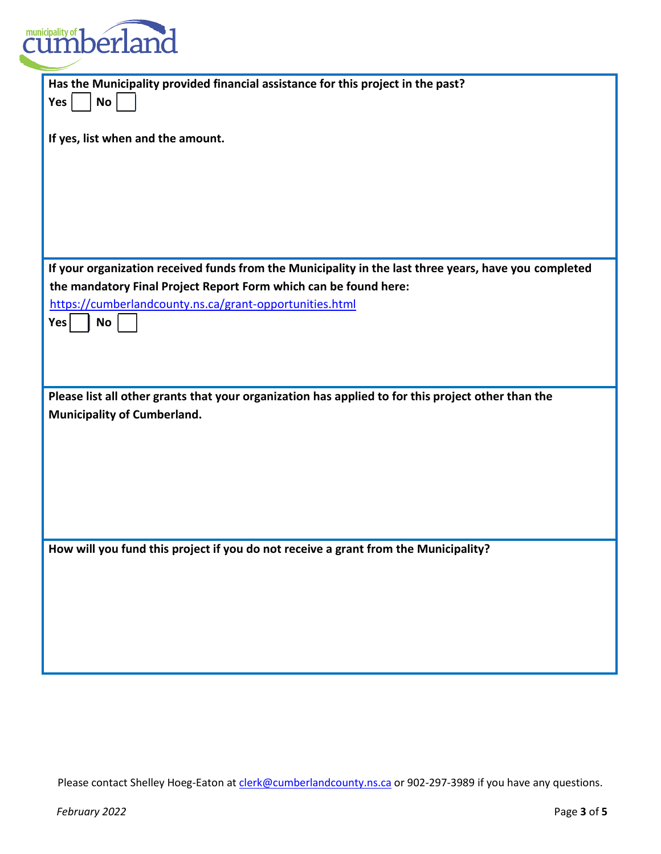

| Has the Municipality provided financial assistance for this project in the past?                      |
|-------------------------------------------------------------------------------------------------------|
|                                                                                                       |
| <b>No</b><br>Yes                                                                                      |
|                                                                                                       |
|                                                                                                       |
| If yes, list when and the amount.                                                                     |
|                                                                                                       |
|                                                                                                       |
|                                                                                                       |
|                                                                                                       |
|                                                                                                       |
|                                                                                                       |
|                                                                                                       |
|                                                                                                       |
|                                                                                                       |
| If your organization received funds from the Municipality in the last three years, have you completed |
|                                                                                                       |
| the mandatory Final Project Report Form which can be found here:                                      |
| https://cumberlandcounty.ns.ca/grant-opportunities.html                                               |
|                                                                                                       |
| <b>Yes</b><br>No                                                                                      |
|                                                                                                       |
|                                                                                                       |
|                                                                                                       |
|                                                                                                       |
|                                                                                                       |
| Please list all other grants that your organization has applied to for this project other than the    |
| <b>Municipality of Cumberland.</b>                                                                    |
|                                                                                                       |
|                                                                                                       |
|                                                                                                       |
|                                                                                                       |
|                                                                                                       |
|                                                                                                       |
|                                                                                                       |
|                                                                                                       |
|                                                                                                       |
|                                                                                                       |
| How will you fund this project if you do not receive a grant from the Municipality?                   |
|                                                                                                       |
|                                                                                                       |
|                                                                                                       |
|                                                                                                       |
|                                                                                                       |
|                                                                                                       |
|                                                                                                       |
|                                                                                                       |
|                                                                                                       |
|                                                                                                       |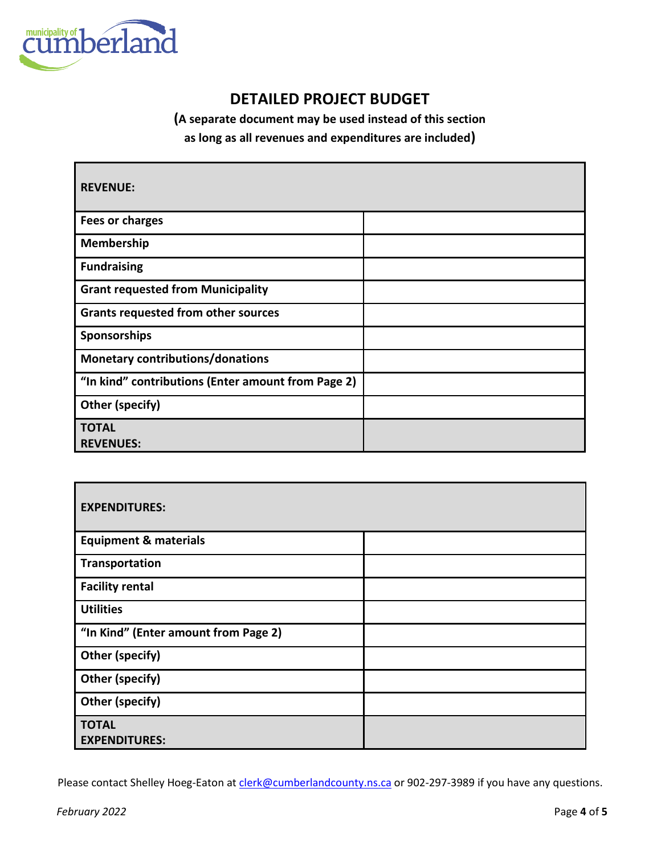

## **DETAILED PROJECT BUDGET**

**(A separate document may be used instead of this section** 

**as long as all revenues and expenditures are included)**

| <b>REVENUE:</b>                                    |  |
|----------------------------------------------------|--|
| <b>Fees or charges</b>                             |  |
| Membership                                         |  |
| <b>Fundraising</b>                                 |  |
| <b>Grant requested from Municipality</b>           |  |
| <b>Grants requested from other sources</b>         |  |
| Sponsorships                                       |  |
| <b>Monetary contributions/donations</b>            |  |
| "In kind" contributions (Enter amount from Page 2) |  |
| Other (specify)                                    |  |
| <b>TOTAL</b><br><b>REVENUES:</b>                   |  |

| <b>EXPENDITURES:</b>                 |  |  |
|--------------------------------------|--|--|
| <b>Equipment &amp; materials</b>     |  |  |
| Transportation                       |  |  |
| <b>Facility rental</b>               |  |  |
| <b>Utilities</b>                     |  |  |
| "In Kind" (Enter amount from Page 2) |  |  |
| Other (specify)                      |  |  |
| <b>Other (specify)</b>               |  |  |
| Other (specify)                      |  |  |
| <b>TOTAL</b><br><b>EXPENDITURES:</b> |  |  |